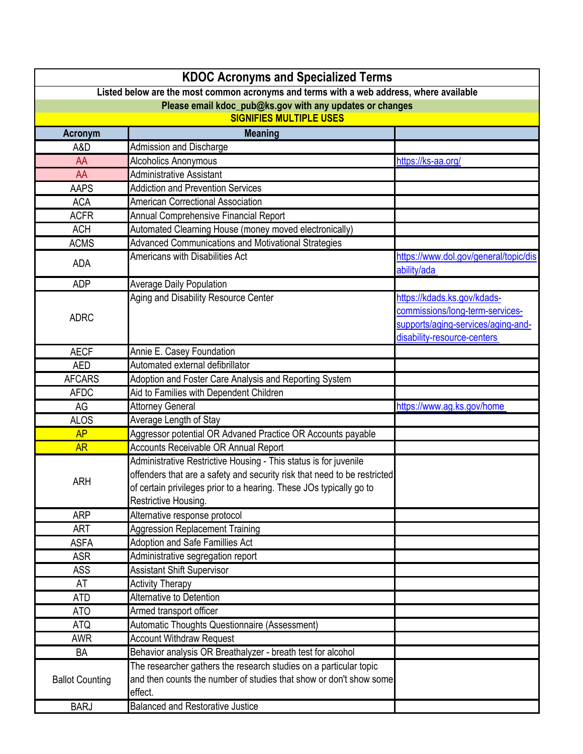|                                                                                                                                                     | <b>KDOC Acronyms and Specialized Terms</b>                               |                                       |  |
|-----------------------------------------------------------------------------------------------------------------------------------------------------|--------------------------------------------------------------------------|---------------------------------------|--|
| Listed below are the most common acronyms and terms with a web address, where available<br>Please email kdoc_pub@ks.gov with any updates or changes |                                                                          |                                       |  |
|                                                                                                                                                     |                                                                          |                                       |  |
| <b>Acronym</b>                                                                                                                                      | <b>Meaning</b>                                                           |                                       |  |
| A&D                                                                                                                                                 | Admission and Discharge                                                  |                                       |  |
| AA                                                                                                                                                  | Alcoholics Anonymous                                                     | https://ks-aa.org/                    |  |
| AA                                                                                                                                                  | <b>Administrative Assistant</b>                                          |                                       |  |
| <b>AAPS</b>                                                                                                                                         | <b>Addiction and Prevention Services</b>                                 |                                       |  |
| <b>ACA</b>                                                                                                                                          | <b>American Correctional Association</b>                                 |                                       |  |
| <b>ACFR</b>                                                                                                                                         | Annual Comprehensive Financial Report                                    |                                       |  |
| <b>ACH</b>                                                                                                                                          | Automated Clearning House (money moved electronically)                   |                                       |  |
| <b>ACMS</b>                                                                                                                                         | <b>Advanced Communications and Motivational Strategies</b>               |                                       |  |
|                                                                                                                                                     | Americans with Disabilities Act                                          | https://www.dol.gov/general/topic/dis |  |
| <b>ADA</b>                                                                                                                                          |                                                                          | ability/ada                           |  |
| <b>ADP</b>                                                                                                                                          | <b>Average Daily Population</b>                                          |                                       |  |
|                                                                                                                                                     | Aging and Disability Resource Center                                     | https://kdads.ks.gov/kdads-           |  |
|                                                                                                                                                     |                                                                          | commissions/long-term-services-       |  |
| <b>ADRC</b>                                                                                                                                         |                                                                          | supports/aging-services/aging-and-    |  |
|                                                                                                                                                     |                                                                          | disability-resource-centers           |  |
| <b>AECF</b>                                                                                                                                         | Annie E. Casey Foundation                                                |                                       |  |
| <b>AED</b>                                                                                                                                          | Automated external defibrillator                                         |                                       |  |
| <b>AFCARS</b>                                                                                                                                       | Adoption and Foster Care Analysis and Reporting System                   |                                       |  |
| <b>AFDC</b>                                                                                                                                         | Aid to Families with Dependent Children                                  |                                       |  |
| AG                                                                                                                                                  | <b>Attorney General</b>                                                  | https://www.ag.ks.gov/home            |  |
| <b>ALOS</b>                                                                                                                                         | Average Length of Stay                                                   |                                       |  |
| AP                                                                                                                                                  | Aggressor potential OR Advaned Practice OR Accounts payable              |                                       |  |
| <b>AR</b>                                                                                                                                           | Accounts Receivable OR Annual Report                                     |                                       |  |
|                                                                                                                                                     | Administrative Restrictive Housing - This status is for juvenile         |                                       |  |
|                                                                                                                                                     | offenders that are a safety and security risk that need to be restricted |                                       |  |
| <b>ARH</b>                                                                                                                                          | of certain privileges prior to a hearing. These JOs typically go to      |                                       |  |
|                                                                                                                                                     | Restrictive Housing.                                                     |                                       |  |
| <b>ARP</b>                                                                                                                                          | Alternative response protocol                                            |                                       |  |
| <b>ART</b>                                                                                                                                          | <b>Aggression Replacement Training</b>                                   |                                       |  |
| <b>ASFA</b>                                                                                                                                         | Adoption and Safe Famillies Act                                          |                                       |  |
| <b>ASR</b>                                                                                                                                          | Administrative segregation report                                        |                                       |  |
| <b>ASS</b>                                                                                                                                          | <b>Assistant Shift Supervisor</b>                                        |                                       |  |
| AT                                                                                                                                                  | <b>Activity Therapy</b>                                                  |                                       |  |
| <b>ATD</b>                                                                                                                                          | Alternative to Detention                                                 |                                       |  |
| <b>ATO</b>                                                                                                                                          | Armed transport officer                                                  |                                       |  |
| <b>ATQ</b>                                                                                                                                          | Automatic Thoughts Questionnaire (Assessment)                            |                                       |  |
| <b>AWR</b>                                                                                                                                          | <b>Account Withdraw Request</b>                                          |                                       |  |
| BA                                                                                                                                                  | Behavior analysis OR Breathalyzer - breath test for alcohol              |                                       |  |
|                                                                                                                                                     | The researcher gathers the research studies on a particular topic        |                                       |  |
| <b>Ballot Counting</b>                                                                                                                              | and then counts the number of studies that show or don't show some       |                                       |  |
|                                                                                                                                                     | effect.                                                                  |                                       |  |
| <b>BARJ</b>                                                                                                                                         | <b>Balanced and Restorative Justice</b>                                  |                                       |  |
|                                                                                                                                                     |                                                                          |                                       |  |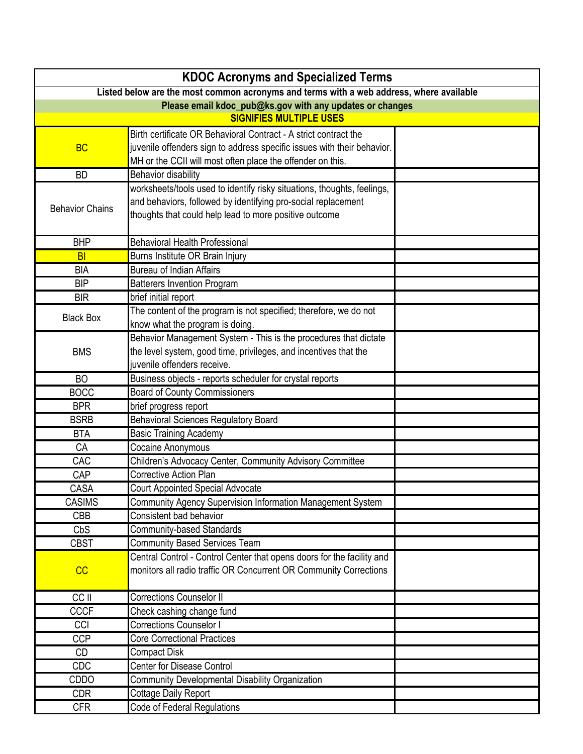| <b>KDOC Acronyms and Specialized Terms</b>                                              |                                                                                                                                             |  |
|-----------------------------------------------------------------------------------------|---------------------------------------------------------------------------------------------------------------------------------------------|--|
| Listed below are the most common acronyms and terms with a web address, where available |                                                                                                                                             |  |
| Please email kdoc_pub@ks.gov with any updates or changes                                |                                                                                                                                             |  |
|                                                                                         | <b>SIGNIFIES MULTIPLE USES</b>                                                                                                              |  |
|                                                                                         | Birth certificate OR Behavioral Contract - A strict contract the                                                                            |  |
| <b>BC</b>                                                                               | juvenile offenders sign to address specific issues with their behavior.                                                                     |  |
|                                                                                         | MH or the CCII will most often place the offender on this.                                                                                  |  |
| <b>BD</b>                                                                               | <b>Behavior disability</b>                                                                                                                  |  |
|                                                                                         | worksheets/tools used to identify risky situations, thoughts, feelings,                                                                     |  |
| <b>Behavior Chains</b>                                                                  | and behaviors, followed by identifying pro-social replacement                                                                               |  |
|                                                                                         | thoughts that could help lead to more positive outcome                                                                                      |  |
| <b>BHP</b>                                                                              | <b>Behavioral Health Professional</b>                                                                                                       |  |
| <b>BI</b>                                                                               | Burns Institute OR Brain Injury                                                                                                             |  |
| <b>BIA</b>                                                                              | <b>Bureau of Indian Affairs</b>                                                                                                             |  |
| <b>BIP</b>                                                                              | <b>Batterers Invention Program</b>                                                                                                          |  |
| <b>BIR</b>                                                                              | brief initial report                                                                                                                        |  |
| <b>Black Box</b>                                                                        | The content of the program is not specified; therefore, we do not                                                                           |  |
|                                                                                         | know what the program is doing.                                                                                                             |  |
|                                                                                         | Behavior Management System - This is the procedures that dictate                                                                            |  |
| <b>BMS</b>                                                                              | the level system, good time, privileges, and incentives that the                                                                            |  |
|                                                                                         | juvenile offenders receive.                                                                                                                 |  |
| <b>BO</b>                                                                               | Business objects - reports scheduler for crystal reports                                                                                    |  |
| <b>BOCC</b>                                                                             | <b>Board of County Commissioners</b>                                                                                                        |  |
| <b>BPR</b>                                                                              | brief progress report                                                                                                                       |  |
| <b>BSRB</b>                                                                             | <b>Behavioral Sciences Regulatory Board</b>                                                                                                 |  |
| <b>BTA</b>                                                                              | <b>Basic Training Academy</b>                                                                                                               |  |
| CA                                                                                      | Cocaine Anonymous                                                                                                                           |  |
| CAC                                                                                     | Children's Advocacy Center, Community Advisory Committee                                                                                    |  |
| CAP                                                                                     | <b>Corrective Action Plan</b>                                                                                                               |  |
| CASA                                                                                    | <b>Court Appointed Special Advocate</b>                                                                                                     |  |
| <b>CASIMS</b>                                                                           | Community Agency Supervision Information Management System                                                                                  |  |
| <b>CBB</b>                                                                              | Consistent bad behavior                                                                                                                     |  |
| CbS                                                                                     | <b>Community-based Standards</b>                                                                                                            |  |
| <b>CBST</b>                                                                             | <b>Community Based Services Team</b>                                                                                                        |  |
| CC                                                                                      | Central Control - Control Center that opens doors for the facility and<br>monitors all radio traffic OR Concurrent OR Community Corrections |  |
|                                                                                         |                                                                                                                                             |  |
| CC II                                                                                   | <b>Corrections Counselor II</b>                                                                                                             |  |
| <b>CCCF</b>                                                                             | Check cashing change fund                                                                                                                   |  |
| CCI                                                                                     | <b>Corrections Counselor I</b>                                                                                                              |  |
| <b>CCP</b>                                                                              | <b>Core Correctional Practices</b>                                                                                                          |  |
| <b>CD</b>                                                                               | <b>Compact Disk</b>                                                                                                                         |  |
| <b>CDC</b>                                                                              | <b>Center for Disease Control</b>                                                                                                           |  |
| CDDO                                                                                    | <b>Community Developmental Disability Organization</b>                                                                                      |  |
| <b>CDR</b>                                                                              | <b>Cottage Daily Report</b>                                                                                                                 |  |
| <b>CFR</b>                                                                              | Code of Federal Regulations                                                                                                                 |  |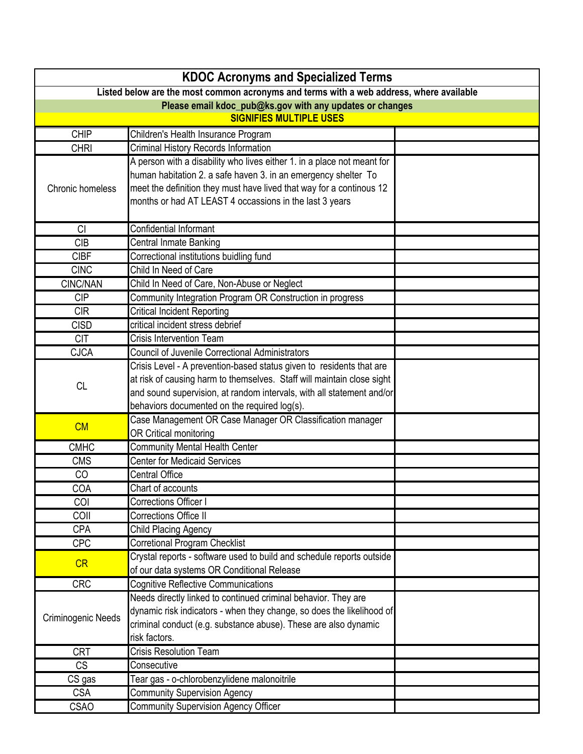| <b>KDOC Acronyms and Specialized Terms</b>                                              |                                                                         |  |
|-----------------------------------------------------------------------------------------|-------------------------------------------------------------------------|--|
| Listed below are the most common acronyms and terms with a web address, where available |                                                                         |  |
| Please email kdoc_pub@ks.gov with any updates or changes                                |                                                                         |  |
| <b>SIGNIFIES MULTIPLE USES</b>                                                          |                                                                         |  |
| <b>CHIP</b>                                                                             | Children's Health Insurance Program                                     |  |
| <b>CHRI</b>                                                                             | <b>Criminal History Records Information</b>                             |  |
|                                                                                         | A person with a disability who lives either 1. in a place not meant for |  |
|                                                                                         | human habitation 2. a safe haven 3. in an emergency shelter To          |  |
| <b>Chronic homeless</b>                                                                 | meet the definition they must have lived that way for a continous 12    |  |
|                                                                                         | months or had AT LEAST 4 occassions in the last 3 years                 |  |
| <b>CI</b>                                                                               | Confidential Informant                                                  |  |
| <b>CIB</b>                                                                              | Central Inmate Banking                                                  |  |
| <b>CIBF</b>                                                                             | Correctional institutions buidling fund                                 |  |
| <b>CINC</b>                                                                             | Child In Need of Care                                                   |  |
| CINC/NAN                                                                                | Child In Need of Care, Non-Abuse or Neglect                             |  |
| <b>CIP</b>                                                                              | Community Integration Program OR Construction in progress               |  |
| <b>CIR</b>                                                                              | <b>Critical Incident Reporting</b>                                      |  |
| <b>CISD</b>                                                                             | critical incident stress debrief                                        |  |
| <b>CIT</b>                                                                              | <b>Crisis Intervention Team</b>                                         |  |
| <b>CJCA</b>                                                                             | <b>Council of Juvenile Correctional Administrators</b>                  |  |
|                                                                                         | Crisis Level - A prevention-based status given to residents that are    |  |
|                                                                                         | at risk of causing harm to themselves. Staff will maintain close sight  |  |
| <b>CL</b>                                                                               | and sound supervision, at random intervals, with all statement and/or   |  |
|                                                                                         | behaviors documented on the required log(s).                            |  |
|                                                                                         | Case Management OR Case Manager OR Classification manager               |  |
| CM                                                                                      | OR Critical monitoring                                                  |  |
| <b>CMHC</b>                                                                             | <b>Community Mental Health Center</b>                                   |  |
| <b>CMS</b>                                                                              | <b>Center for Medicaid Services</b>                                     |  |
| CO                                                                                      | <b>Central Office</b>                                                   |  |
| COA                                                                                     | Chart of accounts                                                       |  |
| COI                                                                                     | Corrections Officer I                                                   |  |
| COII                                                                                    | Corrections Office II                                                   |  |
| <b>CPA</b>                                                                              | Child Placing Agency                                                    |  |
| <b>CPC</b>                                                                              | <b>Corretional Program Checklist</b>                                    |  |
|                                                                                         | Crystal reports - software used to build and schedule reports outside   |  |
| CR                                                                                      | of our data systems OR Conditional Release                              |  |
| <b>CRC</b>                                                                              | <b>Cognitive Reflective Communications</b>                              |  |
|                                                                                         | Needs directly linked to continued criminal behavior. They are          |  |
|                                                                                         | dynamic risk indicators - when they change, so does the likelihood of   |  |
| Criminogenic Needs                                                                      | criminal conduct (e.g. substance abuse). These are also dynamic         |  |
|                                                                                         | risk factors.                                                           |  |
| <b>CRT</b>                                                                              | <b>Crisis Resolution Team</b>                                           |  |
| <b>CS</b>                                                                               | Consecutive                                                             |  |
| CS gas                                                                                  | Tear gas - o-chlorobenzylidene malonoitrile                             |  |
| <b>CSA</b>                                                                              | <b>Community Supervision Agency</b>                                     |  |
| <b>CSAO</b>                                                                             | <b>Community Supervision Agency Officer</b>                             |  |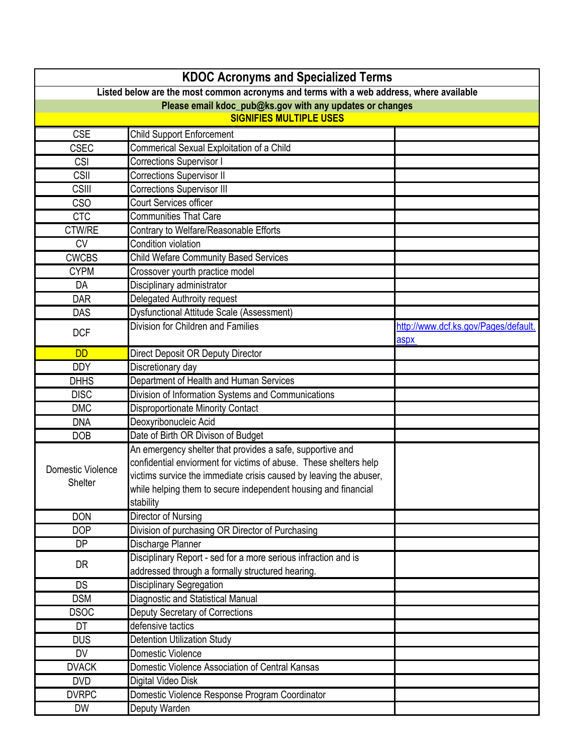| <b>KDOC Acronyms and Specialized Terms</b>                                              |                                                                    |                                      |
|-----------------------------------------------------------------------------------------|--------------------------------------------------------------------|--------------------------------------|
| Listed below are the most common acronyms and terms with a web address, where available |                                                                    |                                      |
| Please email kdoc_pub@ks.gov with any updates or changes                                |                                                                    |                                      |
|                                                                                         | <b>SIGNIFIES MULTIPLE USES</b>                                     |                                      |
| <b>CSE</b>                                                                              | <b>Child Support Enforcement</b>                                   |                                      |
| <b>CSEC</b>                                                                             | Commerical Sexual Exploitation of a Child                          |                                      |
| <b>CSI</b>                                                                              | <b>Corrections Supervisor I</b>                                    |                                      |
| <b>CSII</b>                                                                             | <b>Corrections Supervisor II</b>                                   |                                      |
| <b>CSIII</b>                                                                            | <b>Corrections Supervisor III</b>                                  |                                      |
| <b>CSO</b>                                                                              | <b>Court Services officer</b>                                      |                                      |
| <b>CTC</b>                                                                              | <b>Communities That Care</b>                                       |                                      |
| CTW/RE                                                                                  | Contrary to Welfare/Reasonable Efforts                             |                                      |
| <b>CV</b>                                                                               | Condition violation                                                |                                      |
| <b>CWCBS</b>                                                                            | <b>Child Wefare Community Based Services</b>                       |                                      |
| <b>CYPM</b>                                                                             | Crossover yourth practice model                                    |                                      |
| DA                                                                                      | Disciplinary administrator                                         |                                      |
| <b>DAR</b>                                                                              | Delegated Authroity request                                        |                                      |
| <b>DAS</b>                                                                              | <b>Dysfunctional Attitude Scale (Assessment)</b>                   |                                      |
|                                                                                         | Division for Children and Families                                 | http://www.dcf.ks.gov/Pages/default. |
| <b>DCF</b>                                                                              |                                                                    | aspx                                 |
| <b>DD</b>                                                                               | Direct Deposit OR Deputy Director                                  |                                      |
| <b>DDY</b>                                                                              | Discretionary day                                                  |                                      |
| <b>DHHS</b>                                                                             | Department of Health and Human Services                            |                                      |
| <b>DISC</b>                                                                             | Division of Information Systems and Communications                 |                                      |
| <b>DMC</b>                                                                              | <b>Disproportionate Minority Contact</b>                           |                                      |
| <b>DNA</b>                                                                              | Deoxyribonucleic Acid                                              |                                      |
| <b>DOB</b>                                                                              | Date of Birth OR Divison of Budget                                 |                                      |
|                                                                                         | An emergency shelter that provides a safe, supportive and          |                                      |
| Domestic Violence                                                                       | confidential enviorment for victims of abuse. These shelters help  |                                      |
| Shelter                                                                                 | victims survice the immediate crisis caused by leaving the abuser, |                                      |
|                                                                                         | while helping them to secure independent housing and financial     |                                      |
|                                                                                         | stability                                                          |                                      |
| <b>DON</b>                                                                              | Director of Nursing                                                |                                      |
| <b>DOP</b>                                                                              | Division of purchasing OR Director of Purchasing                   |                                      |
| DP                                                                                      | Discharge Planner                                                  |                                      |
| <b>DR</b>                                                                               | Disciplinary Report - sed for a more serious infraction and is     |                                      |
|                                                                                         | addressed through a formally structured hearing.                   |                                      |
| <b>DS</b>                                                                               | <b>Disciplinary Segregation</b>                                    |                                      |
| <b>DSM</b>                                                                              | Diagnostic and Statistical Manual                                  |                                      |
| <b>DSOC</b>                                                                             | Deputy Secretary of Corrections                                    |                                      |
| DT                                                                                      | defensive tactics                                                  |                                      |
| <b>DUS</b>                                                                              | <b>Detention Utilization Study</b>                                 |                                      |
| <b>DV</b>                                                                               | Domestic Violence                                                  |                                      |
| <b>DVACK</b>                                                                            | Domestic Violence Association of Central Kansas                    |                                      |
| <b>DVD</b>                                                                              | Digital Video Disk                                                 |                                      |
| <b>DVRPC</b>                                                                            | Domestic Violence Response Program Coordinator                     |                                      |
| <b>DW</b>                                                                               | Deputy Warden                                                      |                                      |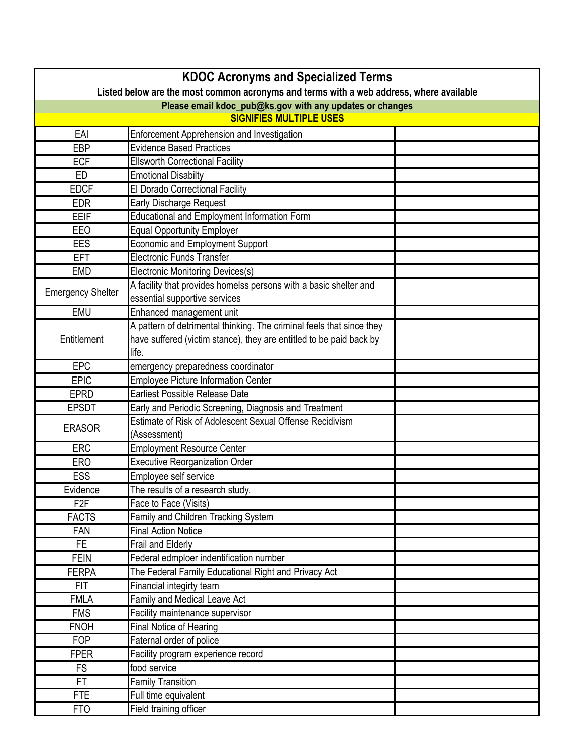|                                                                                                                                                     | <b>KDOC Acronyms and Specialized Terms</b>                            |  |
|-----------------------------------------------------------------------------------------------------------------------------------------------------|-----------------------------------------------------------------------|--|
| Listed below are the most common acronyms and terms with a web address, where available<br>Please email kdoc_pub@ks.gov with any updates or changes |                                                                       |  |
|                                                                                                                                                     |                                                                       |  |
| EAI                                                                                                                                                 | <b>Enforcement Apprehension and Investigation</b>                     |  |
| EBP                                                                                                                                                 | <b>Evidence Based Practices</b>                                       |  |
| <b>ECF</b>                                                                                                                                          | <b>Ellsworth Correctional Facility</b>                                |  |
| ED                                                                                                                                                  | <b>Emotional Disabilty</b>                                            |  |
| <b>EDCF</b>                                                                                                                                         | El Dorado Correctional Facility                                       |  |
| <b>EDR</b>                                                                                                                                          | <b>Early Discharge Request</b>                                        |  |
| EEIF                                                                                                                                                | <b>Educational and Employment Information Form</b>                    |  |
| EEO                                                                                                                                                 | <b>Equal Opportunity Employer</b>                                     |  |
| EES                                                                                                                                                 | <b>Economic and Employment Support</b>                                |  |
| <b>EFT</b>                                                                                                                                          | <b>Electronic Funds Transfer</b>                                      |  |
| <b>EMD</b>                                                                                                                                          | Electronic Monitoring Devices(s)                                      |  |
|                                                                                                                                                     | A facility that provides homelss persons with a basic shelter and     |  |
| <b>Emergency Shelter</b>                                                                                                                            | essential supportive services                                         |  |
| <b>EMU</b>                                                                                                                                          | Enhanced management unit                                              |  |
|                                                                                                                                                     | A pattern of detrimental thinking. The criminal feels that since they |  |
| Entitlement                                                                                                                                         | have suffered (victim stance), they are entitled to be paid back by   |  |
|                                                                                                                                                     | life.                                                                 |  |
| EPC                                                                                                                                                 | emergency preparedness coordinator                                    |  |
| <b>EPIC</b>                                                                                                                                         | <b>Employee Picture Information Center</b>                            |  |
| <b>EPRD</b>                                                                                                                                         | <b>Earliest Possible Release Date</b>                                 |  |
| <b>EPSDT</b>                                                                                                                                        | Early and Periodic Screening, Diagnosis and Treatment                 |  |
| <b>ERASOR</b>                                                                                                                                       | Estimate of Risk of Adolescent Sexual Offense Recidivism              |  |
|                                                                                                                                                     | (Assessment)                                                          |  |
| <b>ERC</b>                                                                                                                                          | <b>Employment Resource Center</b>                                     |  |
| <b>ERO</b>                                                                                                                                          | <b>Executive Reorganization Order</b>                                 |  |
| <b>ESS</b>                                                                                                                                          | Employee self service                                                 |  |
| Evidence                                                                                                                                            | The results of a research study.                                      |  |
| F <sub>2F</sub>                                                                                                                                     | Face to Face (Visits)                                                 |  |
| <b>FACTS</b>                                                                                                                                        | Family and Children Tracking System                                   |  |
| <b>FAN</b>                                                                                                                                          | <b>Final Action Notice</b>                                            |  |
| FE.                                                                                                                                                 | Frail and Elderly                                                     |  |
| <b>FEIN</b>                                                                                                                                         | Federal edmploer indentification number                               |  |
| <b>FERPA</b>                                                                                                                                        | The Federal Family Educational Right and Privacy Act                  |  |
| <b>FIT</b>                                                                                                                                          | Financial integirty team                                              |  |
| <b>FMLA</b>                                                                                                                                         | Family and Medical Leave Act                                          |  |
| <b>FMS</b>                                                                                                                                          | Facility maintenance supervisor                                       |  |
| <b>FNOH</b>                                                                                                                                         | Final Notice of Hearing                                               |  |
| <b>FOP</b>                                                                                                                                          | Faternal order of police                                              |  |
| <b>FPER</b>                                                                                                                                         | Facility program experience record                                    |  |
| <b>FS</b>                                                                                                                                           | food service                                                          |  |
| FT                                                                                                                                                  | <b>Family Transition</b>                                              |  |
| <b>FTE</b>                                                                                                                                          | Full time equivalent                                                  |  |
| <b>FTO</b>                                                                                                                                          | <b>Field training officer</b>                                         |  |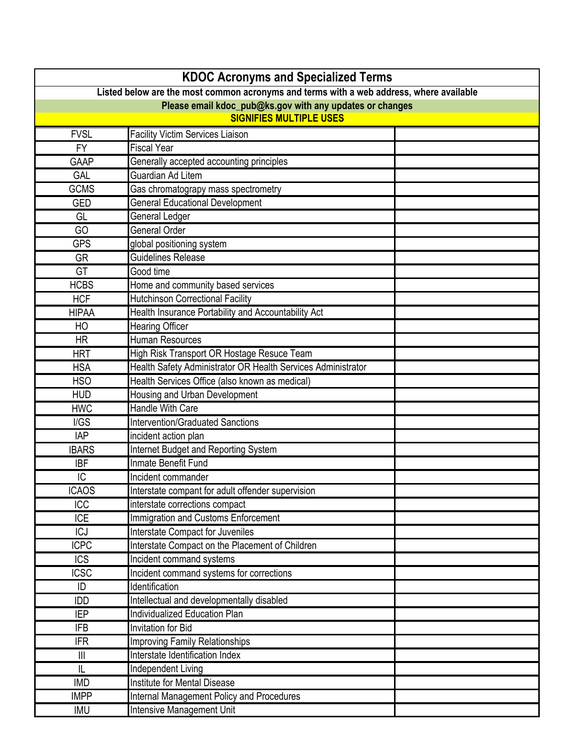|                                                                                         | <b>KDOC Acronyms and Specialized Terms</b>                   |  |  |
|-----------------------------------------------------------------------------------------|--------------------------------------------------------------|--|--|
| Listed below are the most common acronyms and terms with a web address, where available |                                                              |  |  |
| Please email kdoc_pub@ks.gov with any updates or changes                                |                                                              |  |  |
|                                                                                         | <b>SIGNIFIES MULTIPLE USES</b>                               |  |  |
| <b>FVSL</b>                                                                             | <b>Facility Victim Services Liaison</b>                      |  |  |
| <b>FY</b>                                                                               | <b>Fiscal Year</b>                                           |  |  |
| GAAP                                                                                    | Generally accepted accounting principles                     |  |  |
| GAL                                                                                     | Guardian Ad Litem                                            |  |  |
| <b>GCMS</b>                                                                             | Gas chromatograpy mass spectrometry                          |  |  |
| <b>GED</b>                                                                              | <b>General Educational Development</b>                       |  |  |
| GL                                                                                      | General Ledger                                               |  |  |
| GO                                                                                      | <b>General Order</b>                                         |  |  |
| <b>GPS</b>                                                                              | global positioning system                                    |  |  |
| <b>GR</b>                                                                               | <b>Guidelines Release</b>                                    |  |  |
| GT                                                                                      | Good time                                                    |  |  |
| <b>HCBS</b>                                                                             | Home and community based services                            |  |  |
| <b>HCF</b>                                                                              | <b>Hutchinson Correctional Facility</b>                      |  |  |
| <b>HIPAA</b>                                                                            | Health Insurance Portability and Accountability Act          |  |  |
| HO                                                                                      | <b>Hearing Officer</b>                                       |  |  |
| <b>HR</b>                                                                               | Human Resources                                              |  |  |
| <b>HRT</b>                                                                              | High Risk Transport OR Hostage Resuce Team                   |  |  |
| <b>HSA</b>                                                                              | Health Safety Administrator OR Health Services Administrator |  |  |
| <b>HSO</b>                                                                              | Health Services Office (also known as medical)               |  |  |
| <b>HUD</b>                                                                              | Housing and Urban Development                                |  |  |
| <b>HWC</b>                                                                              | <b>Handle With Care</b>                                      |  |  |
| I/GS                                                                                    | <b>Intervention/Graduated Sanctions</b>                      |  |  |
| <b>IAP</b>                                                                              | incident action plan                                         |  |  |
| <b>IBARS</b>                                                                            | Internet Budget and Reporting System                         |  |  |
| <b>IBF</b>                                                                              | Inmate Benefit Fund                                          |  |  |
| IC                                                                                      | Incident commander                                           |  |  |
| <b>ICAOS</b>                                                                            | Interstate compant for adult offender supervision            |  |  |
| <b>ICC</b>                                                                              | interstate corrections compact                               |  |  |
| <b>ICE</b>                                                                              | Immigration and Customs Enforcement                          |  |  |
| <b>ICJ</b>                                                                              | Interstate Compact for Juveniles                             |  |  |
| <b>ICPC</b>                                                                             | Interstate Compact on the Placement of Children              |  |  |
| <b>ICS</b>                                                                              | <b>Incident command systems</b>                              |  |  |
| <b>ICSC</b>                                                                             | Incident command systems for corrections                     |  |  |
| ID                                                                                      | Identification                                               |  |  |
| <b>IDD</b>                                                                              | Intellectual and developmentally disabled                    |  |  |
| <b>IEP</b>                                                                              | Individualized Education Plan                                |  |  |
| <b>IFB</b>                                                                              | <b>Invitation for Bid</b>                                    |  |  |
| <b>IFR</b>                                                                              | <b>Improving Family Relationships</b>                        |  |  |
| $\mathbf{III}$                                                                          | Interstate Identification Index                              |  |  |
| IL                                                                                      | Independent Living                                           |  |  |
| <b>IMD</b>                                                                              | Institute for Mental Disease                                 |  |  |
| <b>IMPP</b>                                                                             | <b>Internal Management Policy and Procedures</b>             |  |  |
| IMU                                                                                     | Intensive Management Unit                                    |  |  |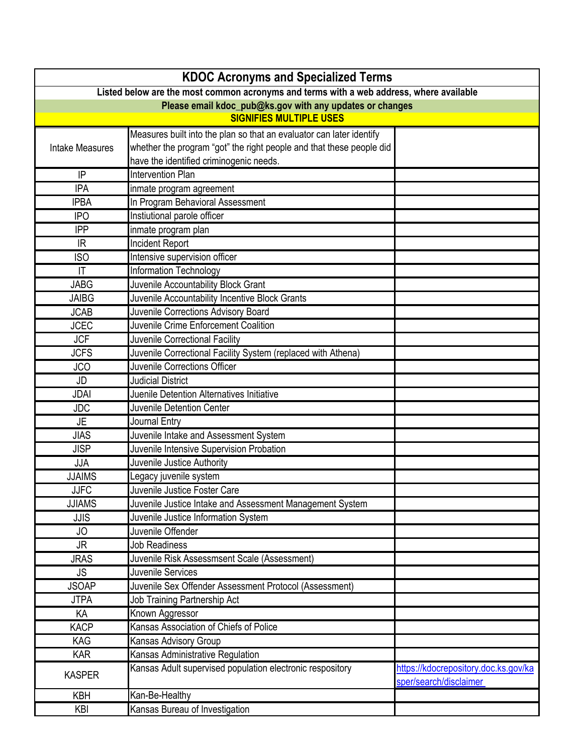| <b>KDOC Acronyms and Specialized Terms</b>                                              |                                                                      |                                                                |
|-----------------------------------------------------------------------------------------|----------------------------------------------------------------------|----------------------------------------------------------------|
| Listed below are the most common acronyms and terms with a web address, where available |                                                                      |                                                                |
|                                                                                         | Please email kdoc_pub@ks.gov with any updates or changes             |                                                                |
|                                                                                         | <b>SIGNIFIES MULTIPLE USES</b>                                       |                                                                |
|                                                                                         | Measures built into the plan so that an evaluator can later identify |                                                                |
| <b>Intake Measures</b>                                                                  | whether the program "got" the right people and that these people did |                                                                |
|                                                                                         | have the identified criminogenic needs.                              |                                                                |
| IP                                                                                      | <b>Intervention Plan</b>                                             |                                                                |
| <b>IPA</b>                                                                              | inmate program agreement                                             |                                                                |
| <b>IPBA</b>                                                                             | In Program Behavioral Assessment                                     |                                                                |
| <b>IPO</b>                                                                              | Instiutional parole officer                                          |                                                                |
| <b>IPP</b>                                                                              | inmate program plan                                                  |                                                                |
| IR                                                                                      | Incident Report                                                      |                                                                |
| <b>ISO</b>                                                                              | Intensive supervision officer                                        |                                                                |
| $\mathsf{I}\mathsf{T}$                                                                  | Information Technology                                               |                                                                |
| <b>JABG</b>                                                                             | Juvenile Accountability Block Grant                                  |                                                                |
| <b>JAIBG</b>                                                                            | Juvenile Accountability Incentive Block Grants                       |                                                                |
| <b>JCAB</b>                                                                             | Juvenile Corrections Advisory Board                                  |                                                                |
| <b>JCEC</b>                                                                             | Juvenile Crime Enforcement Coalition                                 |                                                                |
| <b>JCF</b>                                                                              | Juvenile Correctional Facility                                       |                                                                |
| <b>JCFS</b>                                                                             | Juvenile Correctional Facility System (replaced with Athena)         |                                                                |
| <b>JCO</b>                                                                              | Juvenile Corrections Officer                                         |                                                                |
| JD                                                                                      | <b>Judicial District</b>                                             |                                                                |
| <b>JDAI</b>                                                                             | Juenile Detention Alternatives Initiative                            |                                                                |
| <b>JDC</b>                                                                              | Juvenile Detention Center                                            |                                                                |
| JE                                                                                      | Journal Entry                                                        |                                                                |
| <b>JIAS</b>                                                                             | Juvenile Intake and Assessment System                                |                                                                |
| <b>JISP</b>                                                                             | Juvenile Intensive Supervision Probation                             |                                                                |
| <b>JJA</b>                                                                              | Juvenile Justice Authority                                           |                                                                |
| <b>JJAIMS</b>                                                                           | Legacy juvenile system                                               |                                                                |
| <b>JJFC</b>                                                                             | Juvenile Justice Foster Care                                         |                                                                |
| <b>JJIAMS</b>                                                                           | Juvenile Justice Intake and Assessment Management System             |                                                                |
| <b>JJIS</b>                                                                             | Juvenile Justice Information System                                  |                                                                |
| <b>JO</b>                                                                               | Juvenile Offender                                                    |                                                                |
| <b>JR</b>                                                                               | <b>Job Readiness</b>                                                 |                                                                |
| <b>JRAS</b>                                                                             | Juvenile Risk Assessmsent Scale (Assessment)                         |                                                                |
| <b>JS</b>                                                                               | Juvenile Services                                                    |                                                                |
| <b>JSOAP</b>                                                                            | Juvenile Sex Offender Assessment Protocol (Assessment)               |                                                                |
| <b>JTPA</b>                                                                             | Job Training Partnership Act                                         |                                                                |
| KA                                                                                      | Known Aggressor                                                      |                                                                |
| <b>KACP</b>                                                                             | Kansas Association of Chiefs of Police                               |                                                                |
| KAG                                                                                     | <b>Kansas Advisory Group</b>                                         |                                                                |
| <b>KAR</b>                                                                              | Kansas Administrative Regulation                                     |                                                                |
| <b>KASPER</b>                                                                           | Kansas Adult supervised population electronic respository            | https://kdocrepository.doc.ks.gov/ka<br>sper/search/disclaimer |
| <b>KBH</b>                                                                              | Kan-Be-Healthy                                                       |                                                                |
| KBI                                                                                     | Kansas Bureau of Investigation                                       |                                                                |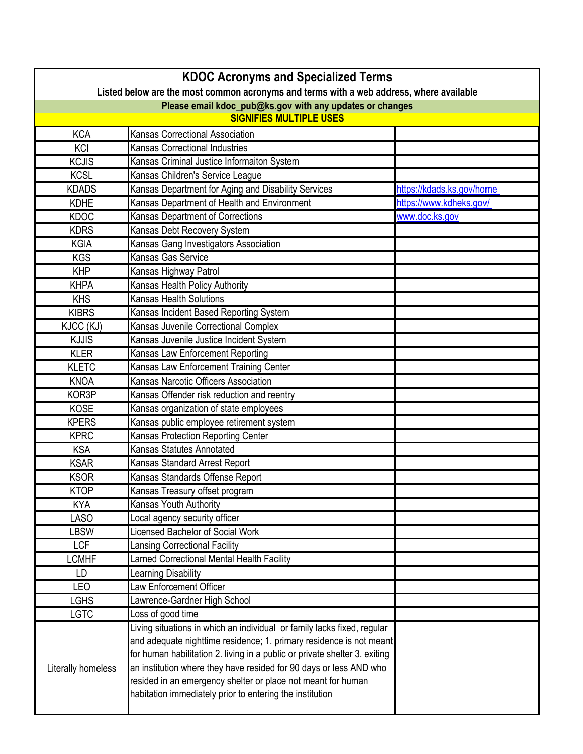| <b>KDOC Acronyms and Specialized Terms</b>                                              |                                                                            |                           |
|-----------------------------------------------------------------------------------------|----------------------------------------------------------------------------|---------------------------|
| Listed below are the most common acronyms and terms with a web address, where available |                                                                            |                           |
| Please email kdoc_pub@ks.gov with any updates or changes                                |                                                                            |                           |
| <b>SIGNIFIES MULTIPLE USES</b>                                                          |                                                                            |                           |
| <b>KCA</b>                                                                              | Kansas Correctional Association                                            |                           |
| KCI                                                                                     | Kansas Correctional Industries                                             |                           |
| <b>KCJIS</b>                                                                            | Kansas Criminal Justice Informaiton System                                 |                           |
| <b>KCSL</b>                                                                             | Kansas Children's Service League                                           |                           |
| <b>KDADS</b>                                                                            | Kansas Department for Aging and Disability Services                        | https://kdads.ks.gov/home |
| <b>KDHE</b>                                                                             | Kansas Department of Health and Environment                                | https://www.kdheks.gov/   |
| <b>KDOC</b>                                                                             | Kansas Department of Corrections                                           | www.doc.ks.gov            |
| <b>KDRS</b>                                                                             | Kansas Debt Recovery System                                                |                           |
| <b>KGIA</b>                                                                             | Kansas Gang Investigators Association                                      |                           |
| <b>KGS</b>                                                                              | Kansas Gas Service                                                         |                           |
| <b>KHP</b>                                                                              | Kansas Highway Patrol                                                      |                           |
| <b>KHPA</b>                                                                             | Kansas Health Policy Authority                                             |                           |
| <b>KHS</b>                                                                              | <b>Kansas Health Solutions</b>                                             |                           |
| <b>KIBRS</b>                                                                            | Kansas Incident Based Reporting System                                     |                           |
| KJCC (KJ)                                                                               | Kansas Juvenile Correctional Complex                                       |                           |
| <b>KJJIS</b>                                                                            | Kansas Juvenile Justice Incident System                                    |                           |
| <b>KLER</b>                                                                             | Kansas Law Enforcement Reporting                                           |                           |
| <b>KLETC</b>                                                                            | Kansas Law Enforcement Training Center                                     |                           |
| <b>KNOA</b>                                                                             | Kansas Narcotic Officers Association                                       |                           |
| KOR3P                                                                                   | Kansas Offender risk reduction and reentry                                 |                           |
| <b>KOSE</b>                                                                             | Kansas organization of state employees                                     |                           |
| <b>KPERS</b>                                                                            | Kansas public employee retirement system                                   |                           |
| <b>KPRC</b>                                                                             | Kansas Protection Reporting Center                                         |                           |
| <b>KSA</b>                                                                              | Kansas Statutes Annotated                                                  |                           |
| <b>KSAR</b>                                                                             | Kansas Standard Arrest Report                                              |                           |
| <b>KSOR</b>                                                                             | Kansas Standards Offense Report                                            |                           |
| <b>KTOP</b>                                                                             | Kansas Treasury offset program                                             |                           |
| <b>KYA</b>                                                                              | Kansas Youth Authority                                                     |                           |
| <b>LASO</b>                                                                             | Local agency security officer                                              |                           |
| LBSW                                                                                    | <b>Licensed Bachelor of Social Work</b>                                    |                           |
| <b>LCF</b>                                                                              | <b>Lansing Correctional Facility</b>                                       |                           |
| <b>LCMHF</b>                                                                            | Larned Correctional Mental Health Facility                                 |                           |
| LD                                                                                      | Learning Disability                                                        |                           |
| <b>LEO</b>                                                                              | Law Enforcement Officer                                                    |                           |
| <b>LGHS</b><br><b>LGTC</b>                                                              | Lawrence-Gardner High School<br>Loss of good time                          |                           |
|                                                                                         | Living situations in which an individual or family lacks fixed, regular    |                           |
|                                                                                         | and adequate nighttime residence; 1. primary residence is not meant        |                           |
|                                                                                         | for human habilitation 2. living in a public or private shelter 3. exiting |                           |
| Literally homeless                                                                      | an institution where they have resided for 90 days or less AND who         |                           |
|                                                                                         | resided in an emergency shelter or place not meant for human               |                           |
|                                                                                         | habitation immediately prior to entering the institution                   |                           |
|                                                                                         |                                                                            |                           |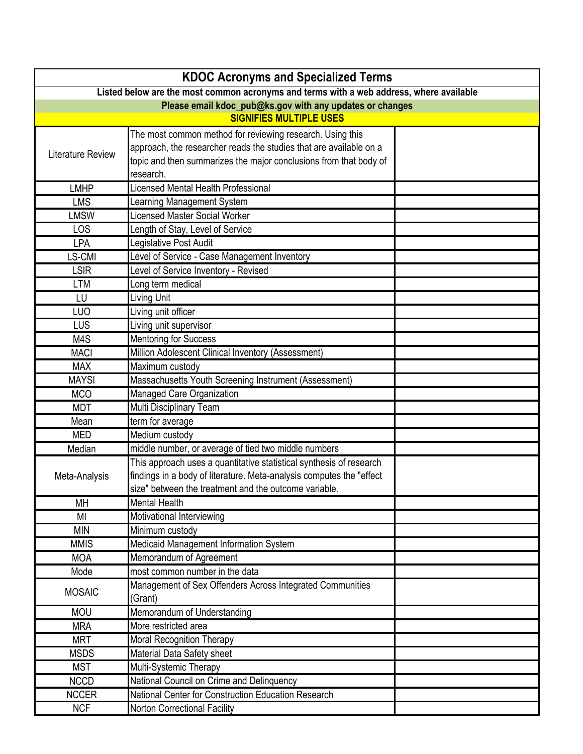| <b>KDOC Acronyms and Specialized Terms</b>                                              |                                                                      |  |
|-----------------------------------------------------------------------------------------|----------------------------------------------------------------------|--|
| Listed below are the most common acronyms and terms with a web address, where available |                                                                      |  |
| Please email kdoc_pub@ks.gov with any updates or changes                                |                                                                      |  |
|                                                                                         | <b>SIGNIFIES MULTIPLE USES</b>                                       |  |
|                                                                                         | The most common method for reviewing research. Using this            |  |
| Literature Review                                                                       | approach, the researcher reads the studies that are available on a   |  |
|                                                                                         | topic and then summarizes the major conclusions from that body of    |  |
|                                                                                         | research.                                                            |  |
| <b>LMHP</b>                                                                             | icensed Mental Health Professional                                   |  |
| <b>LMS</b>                                                                              | Learning Management System                                           |  |
| <b>LMSW</b>                                                                             | Licensed Master Social Worker                                        |  |
| LOS                                                                                     | Length of Stay, Level of Service                                     |  |
| <b>LPA</b>                                                                              | Legislative Post Audit                                               |  |
| LS-CMI                                                                                  | evel of Service - Case Management Inventory                          |  |
| <b>LSIR</b>                                                                             | Level of Service Inventory - Revised                                 |  |
| <b>LTM</b>                                                                              | Long term medical                                                    |  |
| LU                                                                                      | Living Unit                                                          |  |
| LUO                                                                                     | Living unit officer                                                  |  |
| LUS                                                                                     | Living unit supervisor                                               |  |
| M4S                                                                                     | <b>Mentoring for Success</b>                                         |  |
| <b>MACI</b>                                                                             | Million Adolescent Clinical Inventory (Assessment)                   |  |
| <b>MAX</b>                                                                              | Maximum custody                                                      |  |
| <b>MAYSI</b>                                                                            | Massachusetts Youth Screening Instrument (Assessment)                |  |
| <b>MCO</b>                                                                              | Managed Care Organization                                            |  |
| <b>MDT</b>                                                                              | Multi Disciplinary Team                                              |  |
| Mean                                                                                    | term for average                                                     |  |
| <b>MED</b>                                                                              | Medium custody                                                       |  |
| Median                                                                                  | middle number, or average of tied two middle numbers                 |  |
|                                                                                         | This approach uses a quantitative statistical synthesis of research  |  |
| Meta-Analysis                                                                           | findings in a body of literature. Meta-analysis computes the "effect |  |
|                                                                                         | size" between the treatment and the outcome variable.                |  |
| <b>MH</b>                                                                               | <b>Mental Health</b>                                                 |  |
| MI                                                                                      | Motivational Interviewing                                            |  |
| <b>MIN</b>                                                                              | Minimum custody                                                      |  |
| <b>MMIS</b>                                                                             | Medicaid Management Information System                               |  |
| <b>MOA</b>                                                                              | Memorandum of Agreement                                              |  |
| Mode                                                                                    | most common number in the data                                       |  |
| <b>MOSAIC</b>                                                                           | Management of Sex Offenders Across Integrated Communities            |  |
|                                                                                         | (Grant)                                                              |  |
| <b>MOU</b>                                                                              | Memorandum of Understanding                                          |  |
| <b>MRA</b>                                                                              | More restricted area                                                 |  |
| <b>MRT</b>                                                                              | <b>Moral Recognition Therapy</b>                                     |  |
| <b>MSDS</b>                                                                             | Material Data Safety sheet                                           |  |
| <b>MST</b>                                                                              | Multi-Systemic Therapy                                               |  |
| <b>NCCD</b>                                                                             | National Council on Crime and Delinquency                            |  |
| <b>NCCER</b>                                                                            | National Center for Construction Education Research                  |  |
| <b>NCF</b>                                                                              | Norton Correctional Facility                                         |  |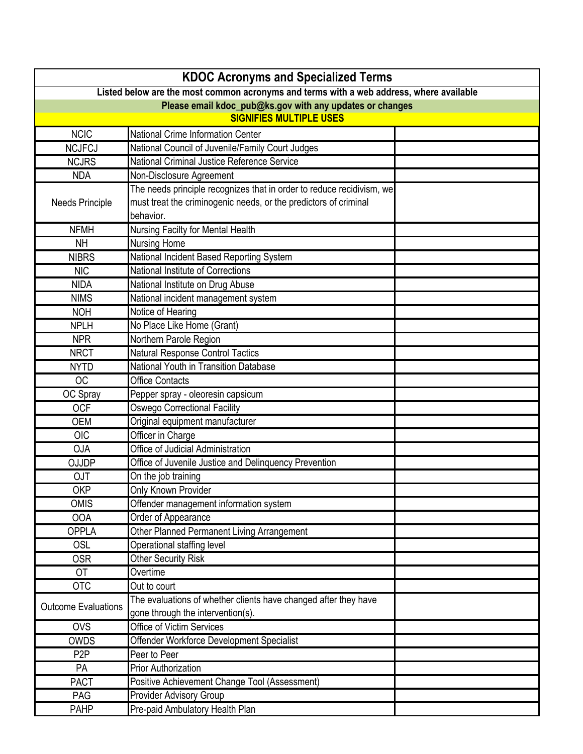| <b>KDOC Acronyms and Specialized Terms</b>                                              |                                                                       |  |  |
|-----------------------------------------------------------------------------------------|-----------------------------------------------------------------------|--|--|
| Listed below are the most common acronyms and terms with a web address, where available |                                                                       |  |  |
|                                                                                         | Please email kdoc_pub@ks.gov with any updates or changes              |  |  |
|                                                                                         | <b>SIGNIFIES MULTIPLE USES</b>                                        |  |  |
| <b>NCIC</b>                                                                             | National Crime Information Center                                     |  |  |
| <b>NCJFCJ</b>                                                                           | National Council of Juvenile/Family Court Judges                      |  |  |
| <b>NCJRS</b>                                                                            | National Criminal Justice Reference Service                           |  |  |
| <b>NDA</b>                                                                              | Non-Disclosure Agreement                                              |  |  |
|                                                                                         | The needs principle recognizes that in order to reduce recidivism, we |  |  |
| <b>Needs Principle</b>                                                                  | must treat the criminogenic needs, or the predictors of criminal      |  |  |
|                                                                                         | behavior.                                                             |  |  |
| <b>NFMH</b>                                                                             | Nursing Facilty for Mental Health                                     |  |  |
| <b>NH</b>                                                                               | <b>Nursing Home</b>                                                   |  |  |
| <b>NIBRS</b>                                                                            | National Incident Based Reporting System                              |  |  |
| <b>NIC</b>                                                                              | National Institute of Corrections                                     |  |  |
| <b>NIDA</b>                                                                             | National Institute on Drug Abuse                                      |  |  |
| <b>NIMS</b>                                                                             | National incident management system                                   |  |  |
| <b>NOH</b>                                                                              | Notice of Hearing                                                     |  |  |
| <b>NPLH</b>                                                                             | No Place Like Home (Grant)                                            |  |  |
| <b>NPR</b>                                                                              | Northern Parole Region                                                |  |  |
| <b>NRCT</b>                                                                             | Natural Response Control Tactics                                      |  |  |
| <b>NYTD</b>                                                                             | <b>National Youth in Transition Database</b>                          |  |  |
| <b>OC</b>                                                                               | <b>Office Contacts</b>                                                |  |  |
| OC Spray                                                                                | Pepper spray - oleoresin capsicum                                     |  |  |
| <b>OCF</b>                                                                              | <b>Oswego Correctional Facility</b>                                   |  |  |
| <b>OEM</b>                                                                              | Original equipment manufacturer                                       |  |  |
| <b>OIC</b>                                                                              | Officer in Charge                                                     |  |  |
| <b>OJA</b>                                                                              | Office of Judicial Administration                                     |  |  |
| <b>OJJDP</b>                                                                            | Office of Juvenile Justice and Delinquency Prevention                 |  |  |
| <b>OJT</b>                                                                              | On the job training                                                   |  |  |
| <b>OKP</b>                                                                              | Only Known Provider                                                   |  |  |
| <b>OMIS</b>                                                                             | Offender management information system                                |  |  |
| <b>OOA</b>                                                                              | Order of Appearance                                                   |  |  |
| <b>OPPLA</b>                                                                            | Other Planned Permanent Living Arrangement                            |  |  |
| <b>OSL</b>                                                                              | Operational staffing level                                            |  |  |
| <b>OSR</b>                                                                              | <b>Other Security Risk</b>                                            |  |  |
| <b>OT</b>                                                                               | Overtime                                                              |  |  |
| <b>OTC</b>                                                                              | Out to court                                                          |  |  |
| <b>Outcome Evaluations</b>                                                              | The evaluations of whether clients have changed after they have       |  |  |
|                                                                                         | gone through the intervention(s).                                     |  |  |
| <b>OVS</b>                                                                              | Office of Victim Services                                             |  |  |
| <b>OWDS</b>                                                                             | Offender Workforce Development Specialist                             |  |  |
| P <sub>2</sub> P                                                                        | Peer to Peer                                                          |  |  |
| PA                                                                                      | <b>Prior Authorization</b>                                            |  |  |
| <b>PACT</b>                                                                             | Positive Achievement Change Tool (Assessment)                         |  |  |
| PAG                                                                                     | <b>Provider Advisory Group</b>                                        |  |  |
| PAHP                                                                                    | Pre-paid Ambulatory Health Plan                                       |  |  |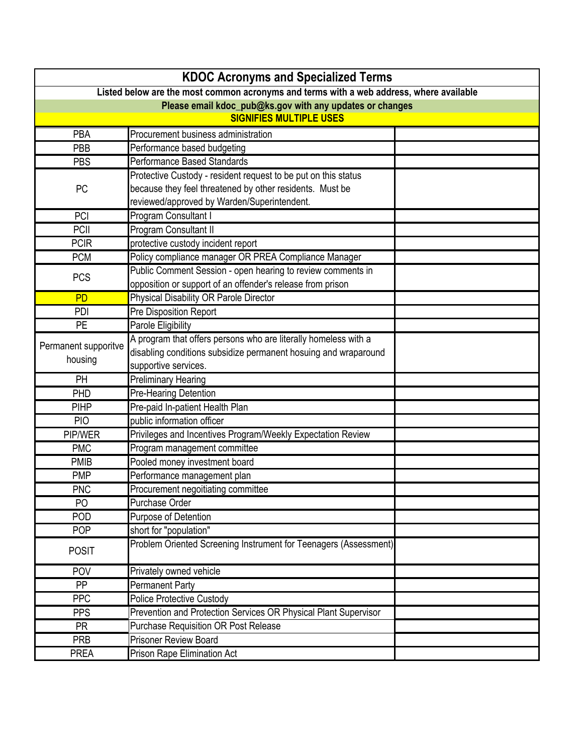| <b>KDOC Acronyms and Specialized Terms</b>                                              |                                                                  |  |
|-----------------------------------------------------------------------------------------|------------------------------------------------------------------|--|
| Listed below are the most common acronyms and terms with a web address, where available |                                                                  |  |
| Please email kdoc_pub@ks.gov with any updates or changes                                |                                                                  |  |
|                                                                                         | <b>SIGNIFIES MULTIPLE USES</b>                                   |  |
| PBA                                                                                     | Procurement business administration                              |  |
| PBB                                                                                     | Performance based budgeting                                      |  |
| <b>PBS</b>                                                                              | Performance Based Standards                                      |  |
|                                                                                         | Protective Custody - resident request to be put on this status   |  |
| PC                                                                                      | because they feel threatened by other residents. Must be         |  |
|                                                                                         | reviewed/approved by Warden/Superintendent.                      |  |
| PCI                                                                                     | Program Consultant I                                             |  |
| PCII                                                                                    | Program Consultant II                                            |  |
| <b>PCIR</b>                                                                             | protective custody incident report                               |  |
| <b>PCM</b>                                                                              | Policy compliance manager OR PREA Compliance Manager             |  |
| <b>PCS</b>                                                                              | Public Comment Session - open hearing to review comments in      |  |
|                                                                                         | opposition or support of an offender's release from prison       |  |
| <b>PD</b>                                                                               | Physical Disability OR Parole Director                           |  |
| PDI                                                                                     | <b>Pre Disposition Report</b>                                    |  |
| <b>PE</b>                                                                               | Parole Eligibility                                               |  |
| Permanent supporitve                                                                    | A program that offers persons who are literally homeless with a  |  |
| housing                                                                                 | disabling conditions subsidize permanent hosuing and wraparound  |  |
|                                                                                         | supportive services.                                             |  |
| PH                                                                                      | <b>Preliminary Hearing</b>                                       |  |
| PHD                                                                                     | Pre-Hearing Detention                                            |  |
| <b>PIHP</b>                                                                             | Pre-paid In-patient Health Plan                                  |  |
| <b>PIO</b>                                                                              | public information officer                                       |  |
| PIP/WER                                                                                 | Privileges and Incentives Program/Weekly Expectation Review      |  |
| <b>PMC</b>                                                                              | Program management committee                                     |  |
| <b>PMIB</b>                                                                             | Pooled money investment board                                    |  |
| <b>PMP</b>                                                                              | Performance management plan                                      |  |
| <b>PNC</b>                                                                              | Procurement negoitiating committee                               |  |
| PO                                                                                      | Purchase Order                                                   |  |
| POD                                                                                     | Purpose of Detention                                             |  |
| <b>POP</b>                                                                              | short for "population"                                           |  |
| <b>POSIT</b>                                                                            | Problem Oriented Screening Instrument for Teenagers (Assessment) |  |
| POV                                                                                     | Privately owned vehicle                                          |  |
| <b>PP</b>                                                                               | <b>Permanent Party</b>                                           |  |
| <b>PPC</b>                                                                              | <b>Police Protective Custody</b>                                 |  |
| <b>PPS</b>                                                                              | Prevention and Protection Services OR Physical Plant Supervisor  |  |
| <b>PR</b>                                                                               | <b>Purchase Requisition OR Post Release</b>                      |  |
| <b>PRB</b>                                                                              | <b>Prisoner Review Board</b>                                     |  |
| <b>PREA</b>                                                                             | <b>Prison Rape Elimination Act</b>                               |  |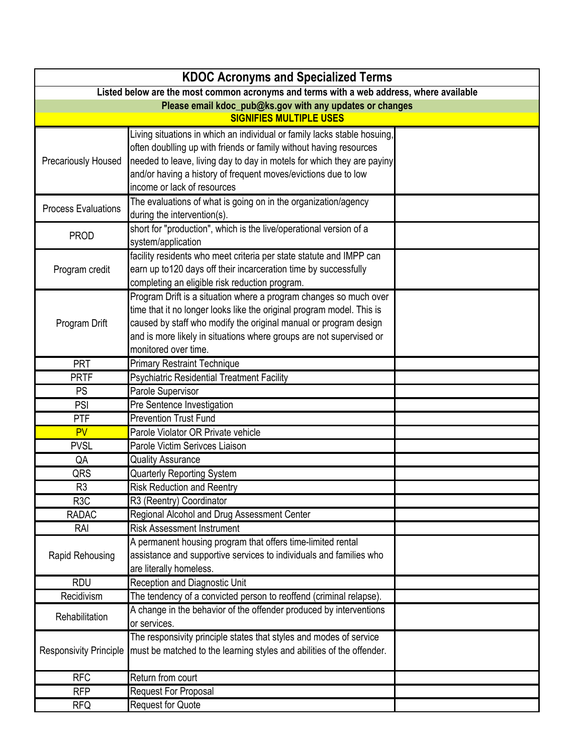| <b>KDOC Acronyms and Specialized Terms</b>                                              |                                                                                                                                   |  |
|-----------------------------------------------------------------------------------------|-----------------------------------------------------------------------------------------------------------------------------------|--|
| Listed below are the most common acronyms and terms with a web address, where available |                                                                                                                                   |  |
| Please email kdoc_pub@ks.gov with any updates or changes                                |                                                                                                                                   |  |
|                                                                                         | <b>SIGNIFIES MULTIPLE USES</b>                                                                                                    |  |
|                                                                                         | Living situations in which an individual or family lacks stable hosuing,                                                          |  |
|                                                                                         | often doublling up with friends or family without having resources                                                                |  |
| <b>Precariously Housed</b>                                                              | needed to leave, living day to day in motels for which they are payiny                                                            |  |
|                                                                                         | and/or having a history of frequent moves/evictions due to low                                                                    |  |
|                                                                                         | income or lack of resources                                                                                                       |  |
| <b>Process Evaluations</b>                                                              | The evaluations of what is going on in the organization/agency                                                                    |  |
|                                                                                         | during the intervention(s).<br>short for "production", which is the live/operational version of a                                 |  |
| <b>PROD</b>                                                                             | system/application                                                                                                                |  |
|                                                                                         | facility residents who meet criteria per state statute and IMPP can                                                               |  |
| Program credit                                                                          | earn up to120 days off their incarceration time by successfully                                                                   |  |
|                                                                                         | completing an eligible risk reduction program.                                                                                    |  |
|                                                                                         | Program Drift is a situation where a program changes so much over                                                                 |  |
|                                                                                         | time that it no longer looks like the original program model. This is                                                             |  |
| Program Drift                                                                           | caused by staff who modify the original manual or program design                                                                  |  |
|                                                                                         | and is more likely in situations where groups are not supervised or                                                               |  |
|                                                                                         | monitored over time.                                                                                                              |  |
| PRT                                                                                     | <b>Primary Restraint Technique</b>                                                                                                |  |
| <b>PRTF</b>                                                                             | Psychiatric Residential Treatment Facility                                                                                        |  |
| <b>PS</b>                                                                               | Parole Supervisor                                                                                                                 |  |
| PSI                                                                                     | Pre Sentence Investigation                                                                                                        |  |
| PTF                                                                                     | <b>Prevention Trust Fund</b>                                                                                                      |  |
| PV                                                                                      | Parole Violator OR Private vehicle                                                                                                |  |
| <b>PVSL</b>                                                                             | Parole Victim Serivces Liaison                                                                                                    |  |
| QA                                                                                      | <b>Quality Assurance</b>                                                                                                          |  |
| QRS                                                                                     | <b>Quarterly Reporting System</b>                                                                                                 |  |
| R <sub>3</sub>                                                                          | <b>Risk Reduction and Reentry</b>                                                                                                 |  |
| R3C                                                                                     | R3 (Reentry) Coordinator                                                                                                          |  |
| <b>RADAC</b>                                                                            | Regional Alcohol and Drug Assessment Center                                                                                       |  |
| RAI                                                                                     | <b>Risk Assessment Instrument</b>                                                                                                 |  |
|                                                                                         | A permanent housing program that offers time-limited rental<br>assistance and supportive services to individuals and families who |  |
| Rapid Rehousing                                                                         | are literally homeless.                                                                                                           |  |
| <b>RDU</b>                                                                              | <b>Reception and Diagnostic Unit</b>                                                                                              |  |
| Recidivism                                                                              | The tendency of a convicted person to reoffend (criminal relapse).                                                                |  |
|                                                                                         | A change in the behavior of the offender produced by interventions                                                                |  |
| Rehabilitation                                                                          | or services.                                                                                                                      |  |
|                                                                                         | The responsivity principle states that styles and modes of service                                                                |  |
| <b>Responsivity Principle</b>                                                           | must be matched to the learning styles and abilities of the offender.                                                             |  |
| <b>RFC</b>                                                                              | Return from court                                                                                                                 |  |
| <b>RFP</b>                                                                              | Request For Proposal                                                                                                              |  |
| <b>RFQ</b>                                                                              | <b>Request for Quote</b>                                                                                                          |  |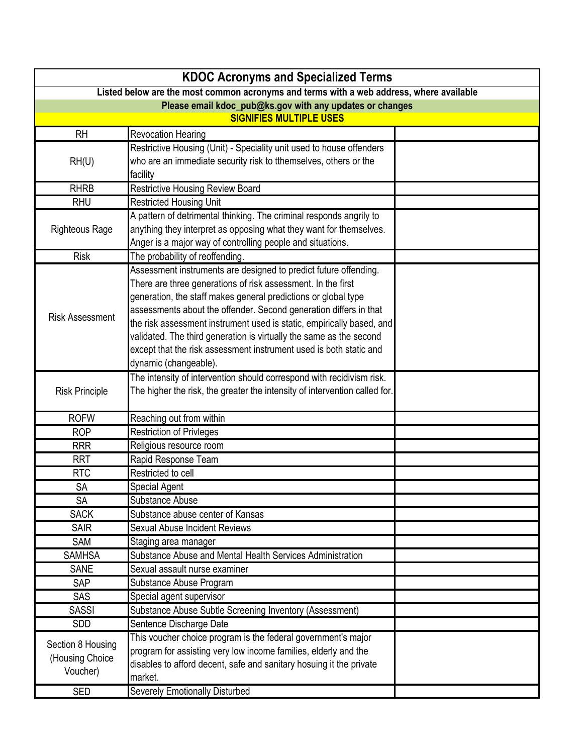| <b>KDOC Acronyms and Specialized Terms</b>                                              |                                                                            |  |
|-----------------------------------------------------------------------------------------|----------------------------------------------------------------------------|--|
| Listed below are the most common acronyms and terms with a web address, where available |                                                                            |  |
| Please email kdoc_pub@ks.gov with any updates or changes                                |                                                                            |  |
|                                                                                         | <b>SIGNIFIES MULTIPLE USES</b>                                             |  |
| <b>RH</b>                                                                               | <b>Revocation Hearing</b>                                                  |  |
|                                                                                         | Restrictive Housing (Unit) - Speciality unit used to house offenders       |  |
| RH(U)                                                                                   | who are an immediate security risk to tthemselves, others or the           |  |
|                                                                                         | facility                                                                   |  |
| <b>RHRB</b>                                                                             | <b>Restrictive Housing Review Board</b>                                    |  |
| <b>RHU</b>                                                                              | <b>Restricted Housing Unit</b>                                             |  |
|                                                                                         | A pattern of detrimental thinking. The criminal responds angrily to        |  |
| <b>Righteous Rage</b>                                                                   | anything they interpret as opposing what they want for themselves.         |  |
|                                                                                         | Anger is a major way of controlling people and situations.                 |  |
| <b>Risk</b>                                                                             | The probability of reoffending.                                            |  |
|                                                                                         | Assessment instruments are designed to predict future offending.           |  |
|                                                                                         | There are three generations of risk assessment. In the first               |  |
|                                                                                         | generation, the staff makes general predictions or global type             |  |
| <b>Risk Assessment</b>                                                                  | assessments about the offender. Second generation differs in that          |  |
|                                                                                         | the risk assessment instrument used is static, empirically based, and      |  |
|                                                                                         | validated. The third generation is virtually the same as the second        |  |
|                                                                                         | except that the risk assessment instrument used is both static and         |  |
|                                                                                         | dynamic (changeable).                                                      |  |
|                                                                                         | The intensity of intervention should correspond with recidivism risk.      |  |
| <b>Risk Principle</b>                                                                   | The higher the risk, the greater the intensity of intervention called for. |  |
|                                                                                         |                                                                            |  |
| <b>ROFW</b>                                                                             | Reaching out from within                                                   |  |
| <b>ROP</b>                                                                              | <b>Restriction of Privleges</b>                                            |  |
| <b>RRR</b>                                                                              | Religious resource room                                                    |  |
| <b>RRT</b>                                                                              | Rapid Response Team                                                        |  |
| <b>RTC</b>                                                                              | Restricted to cell                                                         |  |
| <b>SA</b>                                                                               | <b>Special Agent</b>                                                       |  |
| SA                                                                                      | Substance Abuse                                                            |  |
| <b>SACK</b>                                                                             | Substance abuse center of Kansas                                           |  |
| <b>SAIR</b>                                                                             | <b>Sexual Abuse Incident Reviews</b>                                       |  |
| SAM                                                                                     | Staging area manager                                                       |  |
| <b>SAMHSA</b>                                                                           | Substance Abuse and Mental Health Services Administration                  |  |
| <b>SANE</b>                                                                             | Sexual assault nurse examiner                                              |  |
| SAP                                                                                     | Substance Abuse Program                                                    |  |
| <b>SAS</b>                                                                              | Special agent supervisor                                                   |  |
| <b>SASSI</b>                                                                            | Substance Abuse Subtle Screening Inventory (Assessment)                    |  |
| SDD                                                                                     | Sentence Discharge Date                                                    |  |
|                                                                                         | This voucher choice program is the federal government's major              |  |
| Section 8 Housing                                                                       | program for assisting very low income families, elderly and the            |  |
| (Housing Choice<br>Voucher)                                                             | disables to afford decent, safe and sanitary hosuing it the private        |  |
|                                                                                         | market.                                                                    |  |
| <b>SED</b>                                                                              | Severely Emotionally Disturbed                                             |  |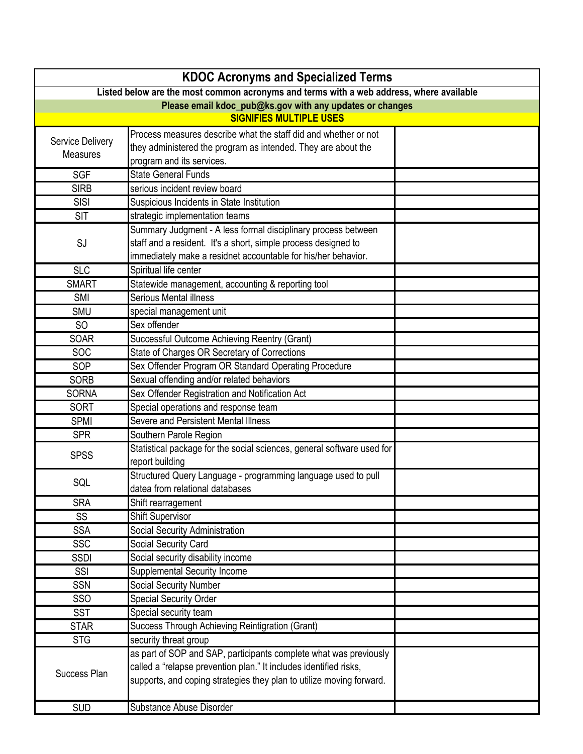|                                                          | <b>KDOC Acronyms and Specialized Terms</b>                                              |  |  |
|----------------------------------------------------------|-----------------------------------------------------------------------------------------|--|--|
|                                                          | Listed below are the most common acronyms and terms with a web address, where available |  |  |
| Please email kdoc_pub@ks.gov with any updates or changes |                                                                                         |  |  |
|                                                          | <b>SIGNIFIES MULTIPLE USES</b>                                                          |  |  |
|                                                          | Process measures describe what the staff did and whether or not                         |  |  |
| Service Delivery                                         | they administered the program as intended. They are about the                           |  |  |
| <b>Measures</b>                                          | program and its services.                                                               |  |  |
| <b>SGF</b>                                               | <b>State General Funds</b>                                                              |  |  |
| <b>SIRB</b>                                              | serious incident review board                                                           |  |  |
| <b>SISI</b>                                              | Suspicious Incidents in State Institution                                               |  |  |
| <b>SIT</b>                                               | strategic implementation teams                                                          |  |  |
|                                                          | Summary Judgment - A less formal disciplinary process between                           |  |  |
| SJ                                                       | staff and a resident. It's a short, simple process designed to                          |  |  |
|                                                          | immediately make a residnet accountable for his/her behavior.                           |  |  |
| <b>SLC</b>                                               | Spiritual life center                                                                   |  |  |
| <b>SMART</b>                                             | Statewide management, accounting & reporting tool                                       |  |  |
| <b>SMI</b>                                               | <b>Serious Mental illness</b>                                                           |  |  |
| SMU                                                      | special management unit                                                                 |  |  |
| <b>SO</b>                                                | Sex offender                                                                            |  |  |
| <b>SOAR</b>                                              | Successful Outcome Achieving Reentry (Grant)                                            |  |  |
| <b>SOC</b>                                               | State of Charges OR Secretary of Corrections                                            |  |  |
| SOP                                                      | Sex Offender Program OR Standard Operating Procedure                                    |  |  |
| <b>SORB</b>                                              | Sexual offending and/or related behaviors                                               |  |  |
| <b>SORNA</b>                                             | Sex Offender Registration and Notification Act                                          |  |  |
| <b>SORT</b>                                              | Special operations and response team                                                    |  |  |
| <b>SPMI</b>                                              | Severe and Persistent Mental Illness                                                    |  |  |
| <b>SPR</b>                                               | Southern Parole Region                                                                  |  |  |
| <b>SPSS</b>                                              | Statistical package for the social sciences, general software used for                  |  |  |
|                                                          | report building                                                                         |  |  |
| SQL                                                      | Structured Query Language - programming language used to pull                           |  |  |
|                                                          | datea from relational databases                                                         |  |  |
| <b>SRA</b>                                               | Shift rearragement                                                                      |  |  |
| SS                                                       | <b>Shift Supervisor</b>                                                                 |  |  |
| <b>SSA</b>                                               | Social Security Administration                                                          |  |  |
| SSC                                                      | Social Security Card                                                                    |  |  |
| <b>SSDI</b>                                              | Social security disability income                                                       |  |  |
| SSI                                                      | <b>Supplemental Security Income</b>                                                     |  |  |
| <b>SSN</b>                                               | <b>Social Security Number</b>                                                           |  |  |
| <b>SSO</b>                                               | <b>Special Security Order</b>                                                           |  |  |
| <b>SST</b>                                               | Special security team                                                                   |  |  |
| <b>STAR</b>                                              | Success Through Achieving Reintigration (Grant)                                         |  |  |
| <b>STG</b>                                               | security threat group                                                                   |  |  |
|                                                          | as part of SOP and SAP, participants complete what was previously                       |  |  |
| Success Plan                                             | called a "relapse prevention plan." It includes identified risks,                       |  |  |
|                                                          | supports, and coping strategies they plan to utilize moving forward.                    |  |  |
|                                                          |                                                                                         |  |  |
| <b>SUD</b>                                               | Substance Abuse Disorder                                                                |  |  |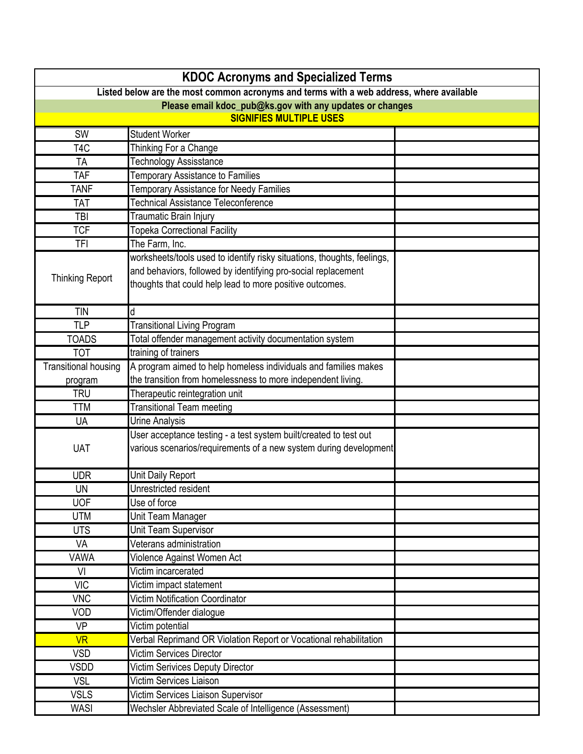|                                                                                         | <b>KDOC Acronyms and Specialized Terms</b>                              |  |  |
|-----------------------------------------------------------------------------------------|-------------------------------------------------------------------------|--|--|
| Listed below are the most common acronyms and terms with a web address, where available |                                                                         |  |  |
| Please email kdoc_pub@ks.gov with any updates or changes                                |                                                                         |  |  |
|                                                                                         | <b>SIGNIFIES MULTIPLE USES</b>                                          |  |  |
| SW                                                                                      | <b>Student Worker</b>                                                   |  |  |
| T <sub>4</sub> C                                                                        | Thinking For a Change                                                   |  |  |
| TA                                                                                      | <b>Technology Assisstance</b>                                           |  |  |
| <b>TAF</b>                                                                              | Temporary Assistance to Families                                        |  |  |
| <b>TANF</b>                                                                             | <b>Temporary Assistance for Needy Families</b>                          |  |  |
| <b>TAT</b>                                                                              | <b>Technical Assistance Teleconference</b>                              |  |  |
| TBI                                                                                     | Traumatic Brain Injury                                                  |  |  |
| <b>TCF</b>                                                                              | <b>Topeka Correctional Facility</b>                                     |  |  |
| <b>TFI</b>                                                                              | The Farm, Inc.                                                          |  |  |
|                                                                                         | worksheets/tools used to identify risky situations, thoughts, feelings, |  |  |
|                                                                                         | and behaviors, followed by identifying pro-social replacement           |  |  |
| <b>Thinking Report</b>                                                                  | thoughts that could help lead to more positive outcomes.                |  |  |
|                                                                                         |                                                                         |  |  |
| <b>TIN</b>                                                                              | d                                                                       |  |  |
| <b>TLP</b>                                                                              | <b>Transitional Living Program</b>                                      |  |  |
| <b>TOADS</b>                                                                            | Total offender management activity documentation system                 |  |  |
| <b>TOT</b>                                                                              | training of trainers                                                    |  |  |
| <b>Transitional housing</b>                                                             | A program aimed to help homeless individuals and families makes         |  |  |
| program                                                                                 | the transition from homelessness to more independent living.            |  |  |
| <b>TRU</b>                                                                              | Therapeutic reintegration unit                                          |  |  |
| <b>TTM</b>                                                                              | <b>Transitional Team meeting</b>                                        |  |  |
| <b>UA</b>                                                                               | <b>Urine Analysis</b>                                                   |  |  |
|                                                                                         | User acceptance testing - a test system built/created to test out       |  |  |
| <b>UAT</b>                                                                              | various scenarios/requirements of a new system during development       |  |  |
|                                                                                         |                                                                         |  |  |
| <b>UDR</b>                                                                              | Unit Daily Report<br>Unrestricted resident                              |  |  |
| <b>UN</b>                                                                               |                                                                         |  |  |
| <b>UOF</b>                                                                              | Use of force                                                            |  |  |
| <b>UTM</b>                                                                              | Unit Team Manager                                                       |  |  |
| <b>UTS</b>                                                                              | Unit Team Supervisor                                                    |  |  |
| VA                                                                                      | Veterans administration                                                 |  |  |
| VAWA                                                                                    | Violence Against Women Act                                              |  |  |
| VI                                                                                      | Victim incarcerated                                                     |  |  |
| <b>VIC</b>                                                                              | Victim impact statement                                                 |  |  |
| <b>VNC</b>                                                                              | <b>Victim Notification Coordinator</b>                                  |  |  |
| VOD                                                                                     | Victim/Offender dialogue                                                |  |  |
| <b>VP</b>                                                                               | Victim potential                                                        |  |  |
| <b>VR</b>                                                                               | Verbal Reprimand OR Violation Report or Vocational rehabilitation       |  |  |
| <b>VSD</b>                                                                              | <b>Victim Services Director</b>                                         |  |  |
| <b>VSDD</b>                                                                             | Victim Serivices Deputy Director                                        |  |  |
| <b>VSL</b>                                                                              | <b>Victim Services Liaison</b>                                          |  |  |
| <b>VSLS</b>                                                                             | Victim Services Liaison Supervisor                                      |  |  |
| <b>WASI</b>                                                                             | Wechsler Abbreviated Scale of Intelligence (Assessment)                 |  |  |